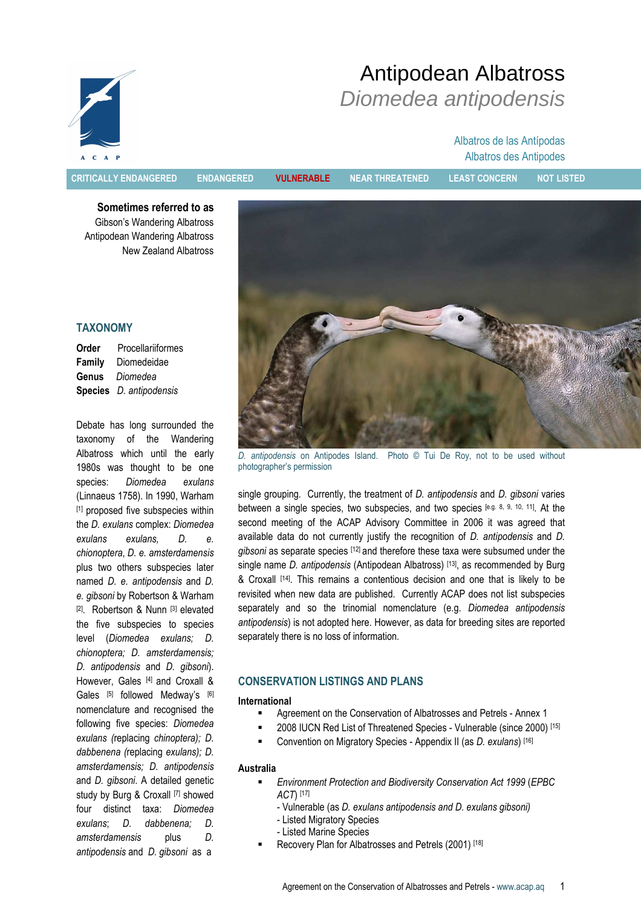

# Antipodean Albatross Diomedea antipodensis

## Albatros de las Antípodas Albatros des Antipodes

CRITICALLY ENDANGERED ENDANGERED VULNERABLE NEAR THREATENED LEAST CONCERN NOT LISTED

Sometimes referred to as Gibson's Wandering Albatross Antipodean Wandering Albatross New Zealand Albatross

## **TAXONOMY**

| Order  | <b>Procellariiformes</b>              |
|--------|---------------------------------------|
| Family | Diomedeidae                           |
| Genus  | Diomedea                              |
|        | <b>Species</b> <i>D. antipodensis</i> |

Debate has long surrounded the taxonomy of the Wandering Albatross which until the early 1980s was thought to be one species: Diomedea exulans (Linnaeus 1758). In 1990, Warham [1] proposed five subspecies within the D. exulans complex: Diomedea exulans exulans, D. e. chionoptera, D. e. amsterdamensis plus two others subspecies later named D. e. antipodensis and D. e. gibsoni by Robertson & Warham [2]. Robertson & Nunn [3] elevated the five subspecies to species level (Diomedea exulans; D. chionoptera; D. amsterdamensis; D. antipodensis and D. gibsoni). However, Gales [4] and Croxall & Gales [5] followed Medway's [6] nomenclature and recognised the following five species: Diomedea exulans (replacing chinoptera); D. dabbenena (replacing exulans); D. amsterdamensis; D. antipodensis and D. gibsoni. A detailed genetic study by Burg & Croxall [7] showed four distinct taxa: Diomedea exulans; D. dabbenena; D. amsterdamensis plus D. antipodensis and D. gibsoni as a



D. antipodensis on Antipodes Island. Photo © Tui De Roy, not to be used without photographer's permission

single grouping. Currently, the treatment of D. antipodensis and D. gibsoni varies between a single species, two subspecies, and two species [e.g. 8, 9, 10, 11]. At the second meeting of the ACAP Advisory Committee in 2006 it was agreed that available data do not currently justify the recognition of D. antipodensis and D. gibsoni as separate species [12] and therefore these taxa were subsumed under the single name *D. antipodensis* (Antipodean Albatross) [13], as recommended by Burg & Croxall [14]. This remains a contentious decision and one that is likely to be revisited when new data are published. Currently ACAP does not list subspecies separately and so the trinomial nomenclature (e.g. Diomedea antipodensis antipodensis) is not adopted here. However, as data for breeding sites are reported separately there is no loss of information.

## CONSERVATION LISTINGS AND PLANS

#### International

- Agreement on the Conservation of Albatrosses and Petrels Annex 1
- 2008 IUCN Red List of Threatened Species Vulnerable (since 2000) [15]
- Convention on Migratory Species Appendix II (as D. exulans) [16]

## Australia

- Environment Protection and Biodiversity Conservation Act 1999 (EPBC ACT) [17]
	- Vulnerable (as D. exulans antipodensis and D. exulans gibsoni)
	- Listed Migratory Species
	- Listed Marine Species
- Recovery Plan for Albatrosses and Petrels (2001) [18]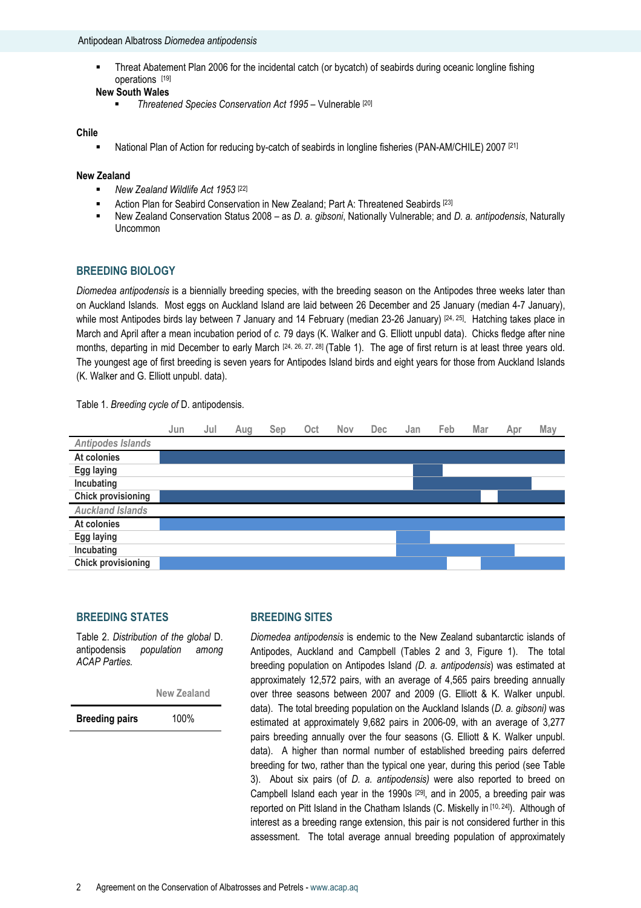Threat Abatement Plan 2006 for the incidental catch (or bycatch) of seabirds during oceanic longline fishing operations [19]

#### New South Wales

■ Threatened Species Conservation Act 1995 – Vulnerable [20]

#### Chile

National Plan of Action for reducing by-catch of seabirds in longline fisheries (PAN-AM/CHILE) 2007 [21]

#### New Zealand

- New Zealand Wildlife Act 1953<sup>[22]</sup>
- Action Plan for Seabird Conservation in New Zealand; Part A: Threatened Seabirds [23]
- New Zealand Conservation Status 2008 as D. a. gibsoni, Nationally Vulnerable; and D. a. antipodensis, Naturally Uncommon

## BREEDING BIOLOGY

Diomedea antipodensis is a biennially breeding species, with the breeding season on the Antipodes three weeks later than on Auckland Islands. Most eggs on Auckland Island are laid between 26 December and 25 January (median 4-7 January), while most Antipodes birds lay between 7 January and 14 February (median 23-26 January) [24, 25]. Hatching takes place in March and April after a mean incubation period of c. 79 days (K. Walker and G. Elliott unpubl data). Chicks fledge after nine months, departing in mid December to early March [24, 26, 27, 28] (Table 1). The age of first return is at least three years old. The youngest age of first breeding is seven years for Antipodes Island birds and eight years for those from Auckland Islands (K. Walker and G. Elliott unpubl. data).

Table 1. Breeding cycle of D. antipodensis.



#### BREEDING STATES

Table 2. Distribution of the global D. antipodensis population among ACAP Parties.

New Zealand

Breeding pairs 100%

## BREEDING SITES

Diomedea antipodensis is endemic to the New Zealand subantarctic islands of Antipodes, Auckland and Campbell (Tables 2 and 3, Figure 1). The total breeding population on Antipodes Island (D. a. antipodensis) was estimated at approximately 12,572 pairs, with an average of 4,565 pairs breeding annually over three seasons between 2007 and 2009 (G. Elliott & K. Walker unpubl. data). The total breeding population on the Auckland Islands (D. a. gibsoni) was estimated at approximately 9,682 pairs in 2006-09, with an average of 3,277 pairs breeding annually over the four seasons (G. Elliott & K. Walker unpubl. data). A higher than normal number of established breeding pairs deferred breeding for two, rather than the typical one year, during this period (see Table 3). About six pairs (of D. a. antipodensis) were also reported to breed on Campbell Island each year in the 1990s [29], and in 2005, a breeding pair was reported on Pitt Island in the Chatham Islands (C. Miskelly in [10, 24]). Although of interest as a breeding range extension, this pair is not considered further in this assessment. The total average annual breeding population of approximately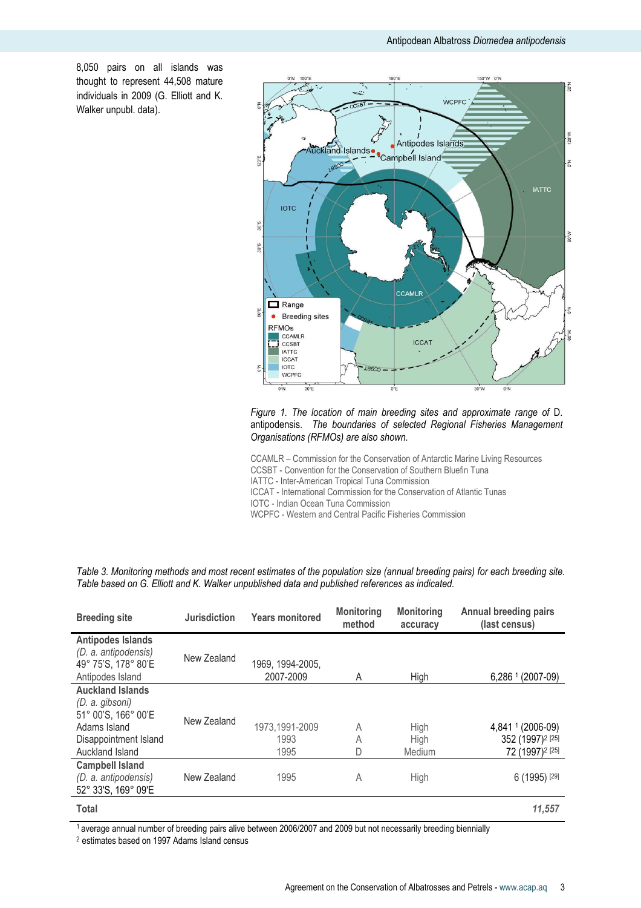8,050 pairs on all islands was thought to represent 44,508 mature individuals in 2009 (G. Elliott and K. Walker unpubl. data).



#### Figure 1. The location of main breeding sites and approximate range of D. antipodensis. The boundaries of selected Regional Fisheries Management Organisations (RFMOs) are also shown.

CCAMLR – Commission for the Conservation of Antarctic Marine Living Resources CCSBT - Convention for the Conservation of Southern Bluefin Tuna IATTC - Inter-American Tropical Tuna Commission ICCAT - International Commission for the Conservation of Atlantic Tunas

IOTC - Indian Ocean Tuna Commission

WCPFC - Western and Central Pacific Fisheries Commission

| <b>Breeding site</b>                                                                                                          | <b>Jurisdiction</b> | <b>Years monitored</b>         | <b>Monitoring</b><br>method | <b>Monitoring</b><br>accuracy | Annual breeding pairs<br>(last census)                                           |
|-------------------------------------------------------------------------------------------------------------------------------|---------------------|--------------------------------|-----------------------------|-------------------------------|----------------------------------------------------------------------------------|
| <b>Antipodes Islands</b><br>(D. a. antipodensis)<br>49° 75'S, 178° 80'E<br>Antipodes Island                                   | New Zealand         | 1969, 1994-2005,<br>2007-2009  | A                           | High                          | 6,286 <sup>1</sup><br>$(2007-09)$                                                |
| <b>Auckland Islands</b><br>(D. a. gibsoni)<br>51° 00'S, 166° 00'E<br>Adams Island<br>Disappointment Island<br>Auckland Island | New Zealand         | 1973,1991-2009<br>1993<br>1995 | A<br>A<br>D                 | High<br>High<br>Medium        | 4,841 1 (2006-09)<br>352 (1997) <sup>2</sup> [25]<br>72 (1997) <sup>2</sup> [25] |
| <b>Campbell Island</b><br>(D. a. antipodensis)<br>52° 33'S, 169° 09'E                                                         | New Zealand         | 1995                           | Α                           | High                          | 6 (1995) [29]                                                                    |
| <b>Total</b>                                                                                                                  |                     |                                |                             |                               | 11,557                                                                           |

Table 3. Monitoring methods and most recent estimates of the population size (annual breeding pairs) for each breeding site. Table based on G. Elliott and K. Walker unpublished data and published references as indicated.

1 average annual number of breeding pairs alive between 2006/2007 and 2009 but not necessarily breeding biennially

<sup>2</sup> estimates based on 1997 Adams Island census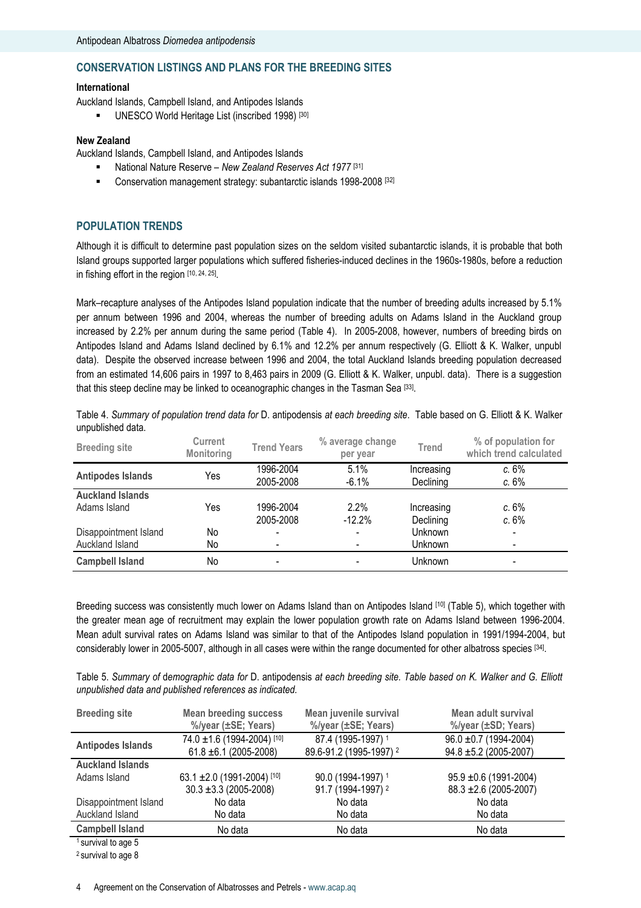## CONSERVATION LISTINGS AND PLANS FOR THE BREEDING SITES

## International

Auckland Islands, Campbell Island, and Antipodes Islands

**UNESCO World Heritage List (inscribed 1998)** [30]

#### New Zealand

Auckland Islands, Campbell Island, and Antipodes Islands

- National Nature Reserve New Zealand Reserves Act 1977<sup>[31]</sup>
- **Conservation management strategy: subantarctic islands 1998-2008** [32]

## POPULATION TRENDS

Although it is difficult to determine past population sizes on the seldom visited subantarctic islands, it is probable that both Island groups supported larger populations which suffered fisheries-induced declines in the 1960s-1980s, before a reduction in fishing effort in the region [10, 24, 25] .

Mark–recapture analyses of the Antipodes Island population indicate that the number of breeding adults increased by 5.1% per annum between 1996 and 2004, whereas the number of breeding adults on Adams Island in the Auckland group increased by 2.2% per annum during the same period (Table 4). In 2005-2008, however, numbers of breeding birds on Antipodes Island and Adams Island declined by 6.1% and 12.2% per annum respectively (G. Elliott & K. Walker, unpubl data). Despite the observed increase between 1996 and 2004, the total Auckland Islands breeding population decreased from an estimated 14,606 pairs in 1997 to 8,463 pairs in 2009 (G. Elliott & K. Walker, unpubl. data). There is a suggestion that this steep decline may be linked to oceanographic changes in the Tasman Sea [33].

Table 4. Summary of population trend data for D. antipodensis at each breeding site. Table based on G. Elliott & K. Walker unpublished data.

| <b>Breeding site</b>     | <b>Current</b><br>Monitoring | <b>Trend Years</b>       | % average change<br>per year | <b>Trend</b>            | % of population for<br>which trend calculated |
|--------------------------|------------------------------|--------------------------|------------------------------|-------------------------|-----------------------------------------------|
| <b>Antipodes Islands</b> | Yes                          | 1996-2004<br>2005-2008   | 5.1%<br>$-6.1%$              | Increasing<br>Declining | c.6%<br>c.6%                                  |
| <b>Auckland Islands</b>  |                              |                          |                              |                         |                                               |
| Adams Island             | Yes                          | 1996-2004                | 2.2%                         | Increasing              | c.6%                                          |
|                          |                              | 2005-2008                | $-12.2%$                     | Declining               | c.6%                                          |
| Disappointment Island    | No                           | $\overline{\phantom{0}}$ | ۰.                           | <b>Unknown</b>          | -                                             |
| Auckland Island          | No                           | $\overline{\phantom{a}}$ |                              | <b>Unknown</b>          | ٠                                             |
| <b>Campbell Island</b>   | No                           | $\overline{\phantom{a}}$ |                              | Unknown                 | ٠                                             |

Breeding success was consistently much lower on Adams Island than on Antipodes Island [10] (Table 5), which together with the greater mean age of recruitment may explain the lower population growth rate on Adams Island between 1996-2004. Mean adult survival rates on Adams Island was similar to that of the Antipodes Island population in 1991/1994-2004, but considerably lower in 2005-5007, although in all cases were within the range documented for other albatross species [34].

Table 5. Summary of demographic data for D. antipodensis at each breeding site. Table based on K. Walker and G. Elliott unpublished data and published references as indicated.

| <b>Breeding site</b>           | <b>Mean breeding success</b><br>%/year (±SE; Years) | Mean juvenile survival<br>%/year (±SE; Years) | Mean adult survival<br>%/year (±SD; Years) |
|--------------------------------|-----------------------------------------------------|-----------------------------------------------|--------------------------------------------|
| <b>Antipodes Islands</b>       | 74.0 ±1.6 (1994-2004) [10]                          | 87.4 (1995-1997) 1                            | $96.0 \pm 0.7$ (1994-2004)                 |
|                                | $61.8 \pm 6.1$ (2005-2008)                          | 89.6-91.2 (1995-1997) 2                       | $94.8 \pm 5.2$ (2005-2007)                 |
| <b>Auckland Islands</b>        |                                                     |                                               |                                            |
| Adams Island                   | 63.1 ±2.0 (1991-2004) [10]                          | 90.0 (1994-1997) 1                            | $95.9 \pm 0.6$ (1991-2004)                 |
|                                | $30.3 \pm 3.3$ (2005-2008)                          | 91.7 (1994-1997) 2                            | 88.3 ± 2.6 (2005-2007)                     |
| Disappointment Island          | No data                                             | No data                                       | No data                                    |
| Auckland Island                | No data                                             | No data                                       | No data                                    |
| <b>Campbell Island</b>         | No data                                             | No data                                       | No data                                    |
| <sup>1</sup> survival to age 5 |                                                     |                                               |                                            |

2 survival to age 8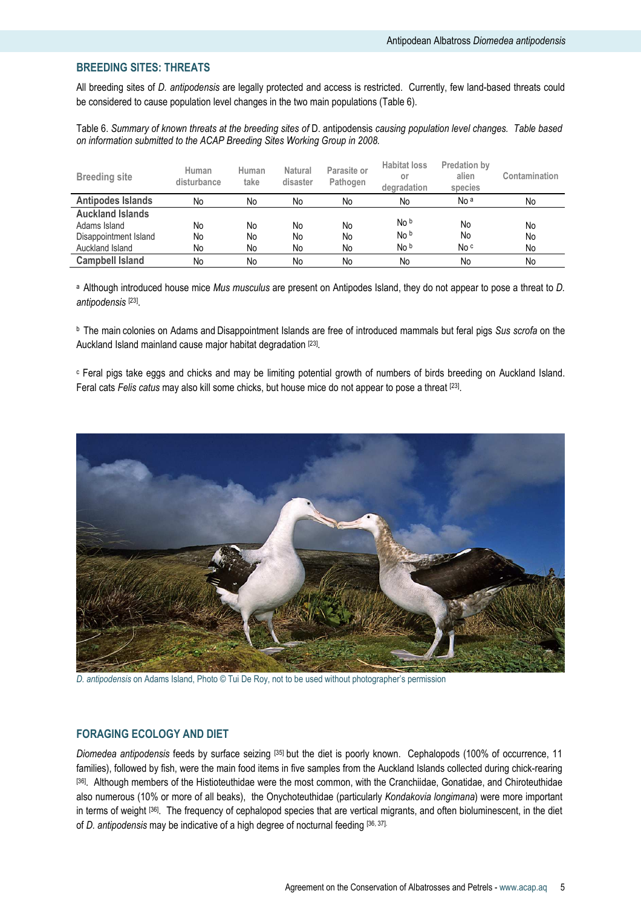## BREEDING SITES: THREATS

All breeding sites of D. antipodensis are legally protected and access is restricted. Currently, few land-based threats could be considered to cause population level changes in the two main populations (Table 6).

Table 6. Summary of known threats at the breeding sites of D. antipodensis causing population level changes. Table based on information submitted to the ACAP Breeding Sites Working Group in 2008.

| <b>Breeding site</b>     | Human<br>disturbance | Human<br>take | <b>Natural</b><br>disaster | Parasite or<br>Pathogen | <b>Habitat loss</b><br>or<br>degradation | <b>Predation by</b><br>alien<br>species | Contamination |
|--------------------------|----------------------|---------------|----------------------------|-------------------------|------------------------------------------|-----------------------------------------|---------------|
| <b>Antipodes Islands</b> | No                   | No            | No                         | No                      | No                                       | No <sup>a</sup>                         | No            |
| <b>Auckland Islands</b>  |                      |               |                            |                         |                                          |                                         |               |
| Adams Island             | No                   | No            | No                         | No                      | No b                                     | No                                      | No            |
| Disappointment Island    | No                   | No            | No                         | No                      | No b                                     | No                                      | No            |
| Auckland Island          | No                   | No            | No                         | No                      | No b                                     | No c                                    | No            |
| <b>Campbell Island</b>   | No                   | No            | No                         | No                      | No                                       | No                                      | No            |

a Although introduced house mice Mus musculus are present on Antipodes Island, they do not appear to pose a threat to D. antipodensis [23] .

<sup>b</sup> The main colonies on Adams and Disappointment Islands are free of introduced mammals but feral pigs Sus scrofa on the Auckland Island mainland cause major habitat degradation [23].

c Feral pigs take eggs and chicks and may be limiting potential growth of numbers of birds breeding on Auckland Island. Feral cats Felis catus may also kill some chicks, but house mice do not appear to pose a threat [23].



D. antipodensis on Adams Island, Photo © Tui De Roy, not to be used without photographer's permission

#### FORAGING ECOLOGY AND DIET

Diomedea antipodensis feeds by surface seizing [35] but the diet is poorly known. Cephalopods (100% of occurrence, 11 families), followed by fish, were the main food items in five samples from the Auckland Islands collected during chick-rearing [36]. Although members of the Histioteuthidae were the most common, with the Cranchiidae, Gonatidae, and Chiroteuthidae also numerous (10% or more of all beaks), the Onychoteuthidae (particularly Kondakovia longimana) were more important in terms of weight [36]. The frequency of cephalopod species that are vertical migrants, and often bioluminescent, in the diet of D. antipodensis may be indicative of a high degree of nocturnal feeding [36, 37].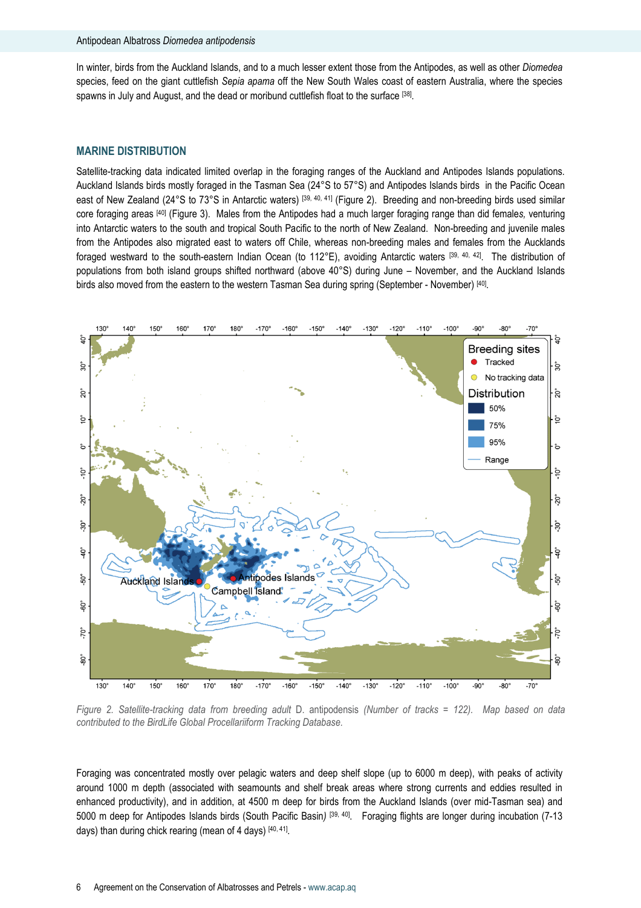#### Antipodean Albatross Diomedea antipodensis

In winter, birds from the Auckland Islands, and to a much lesser extent those from the Antipodes, as well as other Diomedea species, feed on the giant cuttlefish Sepia apama off the New South Wales coast of eastern Australia, where the species spawns in July and August, and the dead or moribund cuttlefish float to the surface <sup>[38]</sup>.

#### MARINE DISTRIBUTION

Satellite-tracking data indicated limited overlap in the foraging ranges of the Auckland and Antipodes Islands populations. Auckland Islands birds mostly foraged in the Tasman Sea (24°S to 57°S) and Antipodes Islands birds in the Pacific Ocean east of New Zealand (24°S to 73°S in Antarctic waters) [39, 40, 41] (Figure 2). Breeding and non-breeding birds used similar core foraging areas [40] (Figure 3). Males from the Antipodes had a much larger foraging range than did females, venturing into Antarctic waters to the south and tropical South Pacific to the north of New Zealand. Non-breeding and juvenile males from the Antipodes also migrated east to waters off Chile, whereas non-breeding males and females from the Aucklands foraged westward to the south-eastern Indian Ocean (to 112°E), avoiding Antarctic waters [39, 40, 42]. The distribution of populations from both island groups shifted northward (above 40°S) during June – November, and the Auckland Islands birds also moved from the eastern to the western Tasman Sea during spring (September - November) [40].



Figure 2. Satellite-tracking data from breeding adult D. antipodensis (Number of tracks = 122). Map based on data contributed to the BirdLife Global Procellariiform Tracking Database.

Foraging was concentrated mostly over pelagic waters and deep shelf slope (up to 6000 m deep), with peaks of activity around 1000 m depth (associated with seamounts and shelf break areas where strong currents and eddies resulted in enhanced productivity), and in addition, at 4500 m deep for birds from the Auckland Islands (over mid-Tasman sea) and 5000 m deep for Antipodes Islands birds (South Pacific Basin) [39, 40]. Foraging flights are longer during incubation (7-13 days) than during chick rearing (mean of 4 days) [40, 41].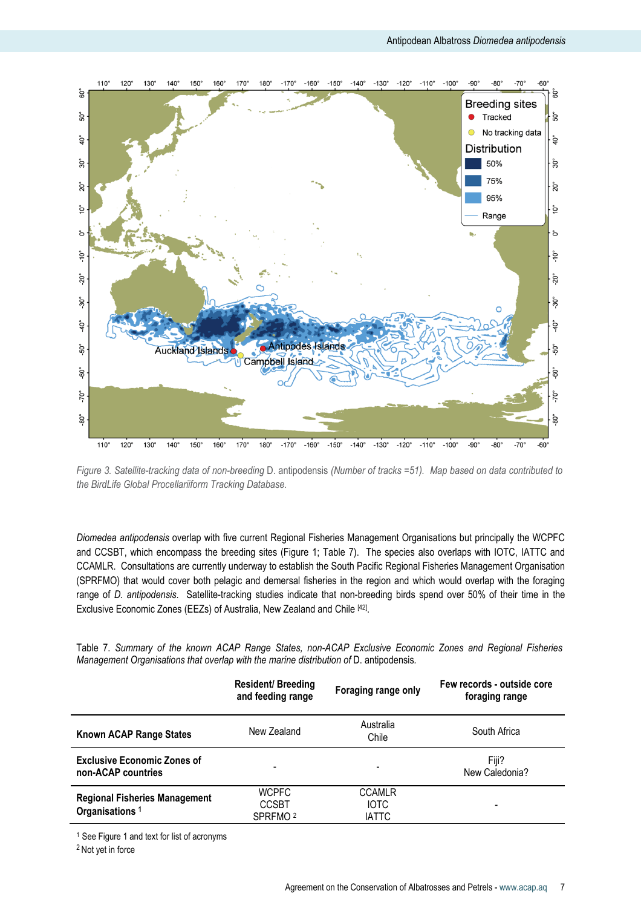

Figure 3. Satellite-tracking data of non-breeding D. antipodensis (Number of tracks =51). Map based on data contributed to the BirdLife Global Procellariiform Tracking Database.

Diomedea antipodensis overlap with five current Regional Fisheries Management Organisations but principally the WCPFC and CCSBT, which encompass the breeding sites (Figure 1; Table 7). The species also overlaps with IOTC, IATTC and CCAMLR. Consultations are currently underway to establish the South Pacific Regional Fisheries Management Organisation (SPRFMO) that would cover both pelagic and demersal fisheries in the region and which would overlap with the foraging range of D. antipodensis. Satellite-tracking studies indicate that non-breeding birds spend over 50% of their time in the Exclusive Economic Zones (EEZs) of Australia, New Zealand and Chile [42].

Table 7. Summary of the known ACAP Range States, non-ACAP Exclusive Economic Zones and Regional Fisheries Management Organisations that overlap with the marine distribution of D. antipodensis.

|                                                                    | <b>Resident/Breeding</b><br>and feeding range       | Foraging range only                          | Few records - outside core<br>foraging range |  |
|--------------------------------------------------------------------|-----------------------------------------------------|----------------------------------------------|----------------------------------------------|--|
| Known ACAP Range States                                            | New Zealand                                         | Australia<br>Chile                           | South Africa                                 |  |
| <b>Exclusive Economic Zones of</b><br>non-ACAP countries           |                                                     | $\overline{\phantom{a}}$                     | Fiii?<br>New Caledonia?                      |  |
| <b>Regional Fisheries Management</b><br>Organisations <sup>1</sup> | <b>WCPFC</b><br><b>CCSBT</b><br>SPRFMO <sup>2</sup> | <b>CCAMLR</b><br><b>IOTC</b><br><b>IATTC</b> | -                                            |  |

<sup>1</sup> See Figure 1 and text for list of acronyms

<sup>2</sup> Not yet in force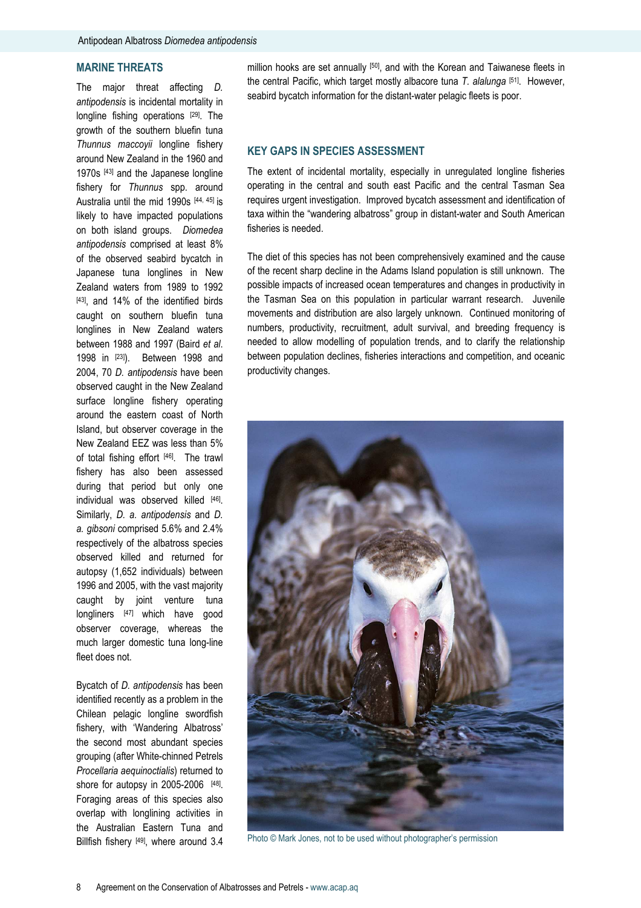## MARINE THREATS

The major threat affecting D. antipodensis is incidental mortality in longline fishing operations [29]. The growth of the southern bluefin tuna Thunnus maccoyii longline fishery around New Zealand in the 1960 and 1970s [43] and the Japanese longline fishery for Thunnus spp. around Australia until the mid 1990s [44, 45] is likely to have impacted populations on both island groups. Diomedea antipodensis comprised at least 8% of the observed seabird bycatch in Japanese tuna longlines in New Zealand waters from 1989 to 1992 [43], and 14% of the identified birds caught on southern bluefin tuna longlines in New Zealand waters between 1988 and 1997 (Baird et al. 1998 in [23]). Between 1998 and 2004, 70 D. antipodensis have been observed caught in the New Zealand surface longline fishery operating around the eastern coast of North Island, but observer coverage in the New Zealand EEZ was less than 5% of total fishing effort [46]. The trawl fishery has also been assessed during that period but only one individual was observed killed [46]. Similarly, D. a. antipodensis and D. a. gibsoni comprised 5.6% and 2.4% respectively of the albatross species observed killed and returned for autopsy (1,652 individuals) between 1996 and 2005, with the vast majority caught by joint venture tuna longliners [47] which have good observer coverage, whereas the much larger domestic tuna long-line fleet does not.

Bycatch of D. antipodensis has been identified recently as a problem in the Chilean pelagic longline swordfish fishery, with 'Wandering Albatross' the second most abundant species grouping (after White-chinned Petrels Procellaria aequinoctialis) returned to shore for autopsy in 2005-2006 [48]. Foraging areas of this species also overlap with longlining activities in the Australian Eastern Tuna and Billfish fishery [49], where around 3.4 million hooks are set annually [50], and with the Korean and Taiwanese fleets in the central Pacific, which target mostly albacore tuna  $T$ , alalunga  $[51]$ . However, seabird bycatch information for the distant-water pelagic fleets is poor.

#### KEY GAPS IN SPECIES ASSESSMENT

The extent of incidental mortality, especially in unregulated longline fisheries operating in the central and south east Pacific and the central Tasman Sea requires urgent investigation. Improved bycatch assessment and identification of taxa within the "wandering albatross" group in distant-water and South American fisheries is needed.

The diet of this species has not been comprehensively examined and the cause of the recent sharp decline in the Adams Island population is still unknown. The possible impacts of increased ocean temperatures and changes in productivity in the Tasman Sea on this population in particular warrant research. Juvenile movements and distribution are also largely unknown. Continued monitoring of numbers, productivity, recruitment, adult survival, and breeding frequency is needed to allow modelling of population trends, and to clarify the relationship between population declines, fisheries interactions and competition, and oceanic productivity changes.



Photo © Mark Jones, not to be used without photographer's permission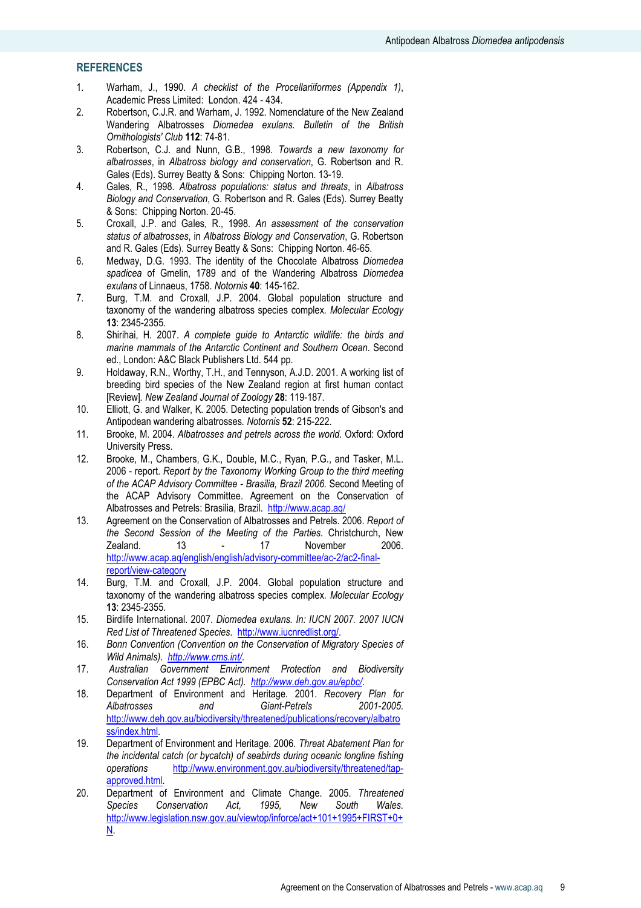## **REFERENCES**

- 1. Warham, J., 1990. A checklist of the Procellariiformes (Appendix 1), Academic Press Limited: London. 424 - 434.
- 2. Robertson, C.J.R. and Warham, J. 1992. Nomenclature of the New Zealand Wandering Albatrosses Diomedea exulans. Bulletin of the British Ornithologists' Club 112: 74-81.
- 3. Robertson, C.J. and Nunn, G.B., 1998. Towards a new taxonomy for albatrosses, in Albatross biology and conservation, G. Robertson and R. Gales (Eds). Surrey Beatty & Sons: Chipping Norton. 13-19.
- 4. Gales, R., 1998. Albatross populations: status and threats, in Albatross Biology and Conservation, G. Robertson and R. Gales (Eds). Surrey Beatty & Sons: Chipping Norton. 20-45.
- 5. Croxall, J.P. and Gales, R., 1998. An assessment of the conservation status of albatrosses, in Albatross Biology and Conservation, G. Robertson and R. Gales (Eds). Surrey Beatty & Sons: Chipping Norton. 46-65.
- 6. Medway, D.G. 1993. The identity of the Chocolate Albatross Diomedea spadicea of Gmelin, 1789 and of the Wandering Albatross Diomedea exulans of Linnaeus, 1758. Notornis 40: 145-162.
- 7. Burg, T.M. and Croxall, J.P. 2004. Global population structure and taxonomy of the wandering albatross species complex. Molecular Ecology 13: 2345-2355.
- 8. Shirihai, H. 2007. A complete guide to Antarctic wildlife: the birds and marine mammals of the Antarctic Continent and Southern Ocean. Second ed., London: A&C Black Publishers Ltd. 544 pp.
- 9. Holdaway, R.N., Worthy, T.H., and Tennyson, A.J.D. 2001. A working list of breeding bird species of the New Zealand region at first human contact [Review]. New Zealand Journal of Zoology 28: 119-187.
- 10. Elliott, G. and Walker, K. 2005. Detecting population trends of Gibson's and Antipodean wandering albatrosses. Notornis 52: 215-222.
- 11. Brooke, M. 2004. Albatrosses and petrels across the world. Oxford: Oxford University Press.
- 12. Brooke, M., Chambers, G.K., Double, M.C., Ryan, P.G., and Tasker, M.L. 2006 - report. Report by the Taxonomy Working Group to the third meeting of the ACAP Advisory Committee - Brasilia, Brazil 2006. Second Meeting of the ACAP Advisory Committee. Agreement on the Conservation of Albatrosses and Petrels: Brasilia, Brazil. http://www.acap.aq/
- 13. Agreement on the Conservation of Albatrosses and Petrels. 2006. Report of the Second Session of the Meeting of the Parties. Christchurch, New Zealand. 13 - 17 November 2006. http://www.acap.aq/english/english/advisory-committee/ac-2/ac2-finalreport/view-category
- 14. Burg, T.M. and Croxall, J.P. 2004. Global population structure and taxonomy of the wandering albatross species complex. Molecular Ecology 13: 2345-2355.
- 15. Birdlife International. 2007. Diomedea exulans. In: IUCN 2007. 2007 IUCN Red List of Threatened Species. http://www.iucnredlist.org/.
- 16. Bonn Convention (Convention on the Conservation of Migratory Species of Wild Animals). http://www.cms.int/.
- 17. Australian Government Environment Protection and Biodiversity Conservation Act 1999 (EPBC Act). http://www.deh.gov.au/epbc/.
- 18. Department of Environment and Heritage. 2001. Recovery Plan for Albatrosses and Giant-Petrels 2001-2005. http://www.deh.gov.au/biodiversity/threatened/publications/recovery/albatro ss/index.html.
- 19. Department of Environment and Heritage. 2006. Threat Abatement Plan for the incidental catch (or bycatch) of seabirds during oceanic longline fishing operations http://www.environment.gov.au/biodiversity/threatened/tapapproved.html.
- 20. Department of Environment and Climate Change. 2005. Threatened Species Conservation Act, 1995, New South Wales. http://www.legislation.nsw.gov.au/viewtop/inforce/act+101+1995+FIRST+0+ N.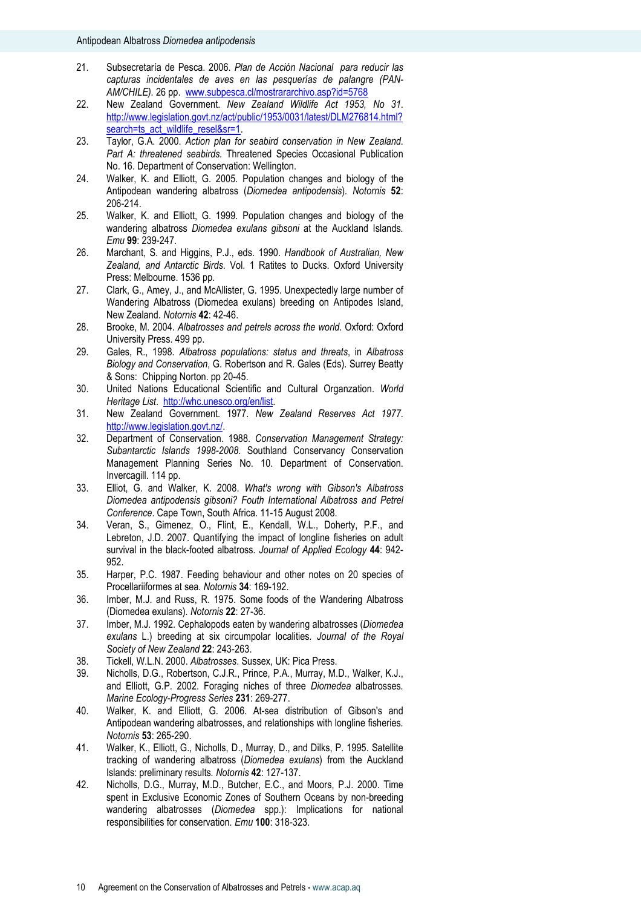- 21. Subsecretaría de Pesca. 2006. Plan de Acción Nacional para reducir las capturas incidentales de aves en las pesquerías de palangre (PAN-AM/CHILE). 26 pp. www.subpesca.cl/mostrararchivo.asp?id=5768
- 22. New Zealand Government. New Zealand Wildlife Act 1953, No 31. http://www.legislation.govt.nz/act/public/1953/0031/latest/DLM276814.html? search=ts\_act\_wildlife\_resel&sr=1.
- 23. Taylor, G.A. 2000. Action plan for seabird conservation in New Zealand. Part A: threatened seabirds. Threatened Species Occasional Publication No. 16. Department of Conservation: Wellington.
- 24. Walker, K. and Elliott, G. 2005. Population changes and biology of the Antipodean wandering albatross (Diomedea antipodensis). Notornis 52: 206-214.
- 25. Walker, K. and Elliott, G. 1999. Population changes and biology of the wandering albatross Diomedea exulans gibsoni at the Auckland Islands. Emu 99: 239-247.
- 26. Marchant, S. and Higgins, P.J., eds. 1990. Handbook of Australian, New Zealand, and Antarctic Birds. Vol. 1 Ratites to Ducks. Oxford University Press: Melbourne. 1536 pp.
- 27. Clark, G., Amey, J., and McAllister, G. 1995. Unexpectedly large number of Wandering Albatross (Diomedea exulans) breeding on Antipodes Island, New Zealand. Notornis 42: 42-46.
- 28. Brooke, M. 2004. Albatrosses and petrels across the world. Oxford: Oxford University Press. 499 pp.
- 29. Gales, R., 1998. Albatross populations: status and threats, in Albatross Biology and Conservation, G. Robertson and R. Gales (Eds). Surrey Beatty & Sons: Chipping Norton. pp 20-45.
- 30. United Nations Educational Scientific and Cultural Organzation. World Heritage List. http://whc.unesco.org/en/list.
- 31. New Zealand Government. 1977. New Zealand Reserves Act 1977. http://www.legislation.govt.nz/.
- 32. Department of Conservation. 1988. Conservation Management Strategy: Subantarctic Islands 1998-2008. Southland Conservancy Conservation Management Planning Series No. 10. Department of Conservation. Invercagill. 114 pp.
- 33. Elliot, G. and Walker, K. 2008. What's wrong with Gibson's Albatross Diomedea antipodensis gibsoni? Fouth International Albatross and Petrel Conference. Cape Town, South Africa. 11-15 August 2008.
- 34. Veran, S., Gimenez, O., Flint, E., Kendall, W.L., Doherty, P.F., and Lebreton, J.D. 2007. Quantifying the impact of longline fisheries on adult survival in the black-footed albatross. Journal of Applied Ecology 44: 942-952.
- 35. Harper, P.C. 1987. Feeding behaviour and other notes on 20 species of Procellariiformes at sea. Notornis 34: 169-192.
- 36. Imber, M.J. and Russ, R. 1975. Some foods of the Wandering Albatross (Diomedea exulans). Notornis 22: 27-36.
- 37. Imber, M.J. 1992. Cephalopods eaten by wandering albatrosses (Diomedea exulans L.) breeding at six circumpolar localities. Journal of the Royal Society of New Zealand 22: 243-263.
- 38. Tickell, W.L.N. 2000. Albatrosses. Sussex, UK: Pica Press.
- 39. Nicholls, D.G., Robertson, C.J.R., Prince, P.A., Murray, M.D., Walker, K.J., and Elliott, G.P. 2002. Foraging niches of three Diomedea albatrosses. Marine Ecology-Progress Series 231: 269-277.
- 40. Walker, K. and Elliott, G. 2006. At-sea distribution of Gibson's and Antipodean wandering albatrosses, and relationships with longline fisheries. Notornis 53: 265-290.
- 41. Walker, K., Elliott, G., Nicholls, D., Murray, D., and Dilks, P. 1995. Satellite tracking of wandering albatross (Diomedea exulans) from the Auckland Islands: preliminary results. Notornis 42: 127-137.
- 42. Nicholls, D.G., Murray, M.D., Butcher, E.C., and Moors, P.J. 2000. Time spent in Exclusive Economic Zones of Southern Oceans by non-breeding wandering albatrosses (Diomedea spp.): Implications for national responsibilities for conservation. Emu 100: 318-323.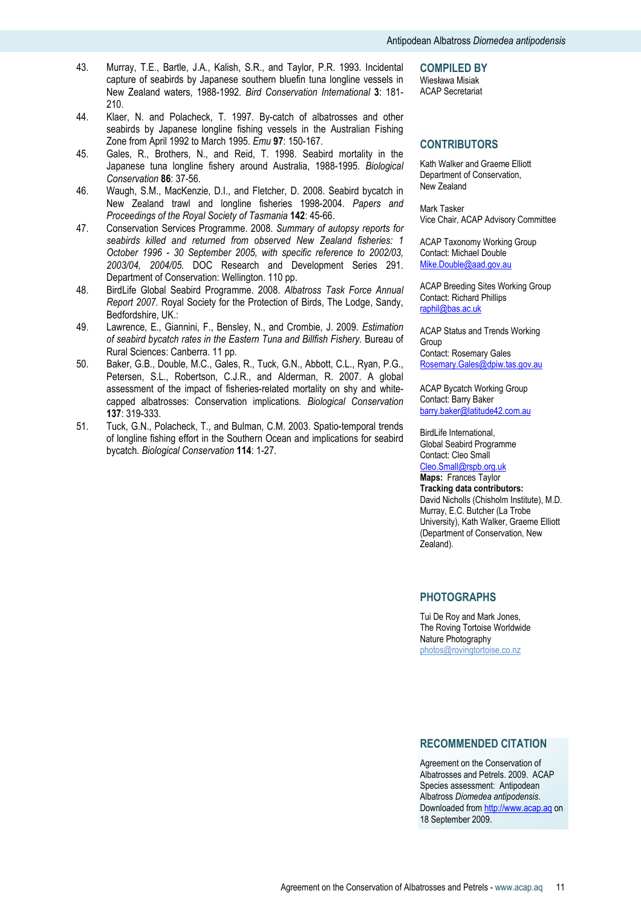- 43. Murray, T.E., Bartle, J.A., Kalish, S.R., and Taylor, P.R. 1993. Incidental capture of seabirds by Japanese southern bluefin tuna longline vessels in New Zealand waters, 1988-1992. Bird Conservation International 3: 181- 210.
- 44. Klaer, N. and Polacheck, T. 1997. By-catch of albatrosses and other seabirds by Japanese longline fishing vessels in the Australian Fishing Zone from April 1992 to March 1995. Emu 97: 150-167.
- 45. Gales, R., Brothers, N., and Reid, T. 1998. Seabird mortality in the Japanese tuna longline fishery around Australia, 1988-1995. Biological Conservation 86: 37-56.
- 46. Waugh, S.M., MacKenzie, D.I., and Fletcher, D. 2008. Seabird bycatch in New Zealand trawl and longline fisheries 1998-2004. Papers and Proceedings of the Royal Society of Tasmania 142: 45-66.
- 47. Conservation Services Programme. 2008. Summary of autopsy reports for seabirds killed and returned from observed New Zealand fisheries: 1 October 1996 - 30 September 2005, with specific reference to 2002/03, 2003/04, 2004/05. DOC Research and Development Series 291. Department of Conservation: Wellington. 110 pp.
- 48. BirdLife Global Seabird Programme. 2008. Albatross Task Force Annual Report 2007. Royal Society for the Protection of Birds, The Lodge, Sandy, Bedfordshire, UK.:
- 49. Lawrence, E., Giannini, F., Bensley, N., and Crombie, J. 2009. Estimation of seabird bycatch rates in the Eastern Tuna and Billfish Fishery. Bureau of Rural Sciences: Canberra. 11 pp.
- 50. Baker, G.B., Double, M.C., Gales, R., Tuck, G.N., Abbott, C.L., Ryan, P.G., Petersen, S.L., Robertson, C.J.R., and Alderman, R. 2007. A global assessment of the impact of fisheries-related mortality on shy and whitecapped albatrosses: Conservation implications. Biological Conservation 137: 319-333.
- 51. Tuck, G.N., Polacheck, T., and Bulman, C.M. 2003. Spatio-temporal trends of longline fishing effort in the Southern Ocean and implications for seabird bycatch. Biological Conservation 114: 1-27.

COMPILED BY

Wiesława Misiak ACAP Secretariat

## **CONTRIBUTORS**

Kath Walker and Graeme Elliott Department of Conservation, New Zealand

Mark Tasker Vice Chair, ACAP Advisory Committee

ACAP Taxonomy Working Group Contact: Michael Double Mike.Double@aad.gov.au

ACAP Breeding Sites Working Group Contact: Richard Phillips raphil@bas.ac.uk

ACAP Status and Trends Working Group Contact: Rosemary Gales Rosemary.Gales@dpiw.tas.gov.au

ACAP Bycatch Working Group Contact: Barry Baker barry.baker@latitude42.com.au

BirdLife International, Global Seabird Programme Contact: Cleo Small Cleo.Small@rspb.org.uk Maps: Frances Taylor Tracking data contributors: David Nicholls (Chisholm Institute), M.D. Murray, E.C. Butcher (La Trobe

University), Kath Walker, Graeme Elliott (Department of Conservation, New Zealand).

## PHOTOGRAPHS

Tui De Roy and Mark Jones, The Roving Tortoise Worldwide Nature Photography photos@rovingtortoise.co.nz

#### RECOMMENDED CITATION

Agreement on the Conservation of Albatrosses and Petrels. 2009. ACAP Species assessment: Antipodean Albatross Diomedea antipodensis. Downloaded from http://www.acap.aq on 18 September 2009.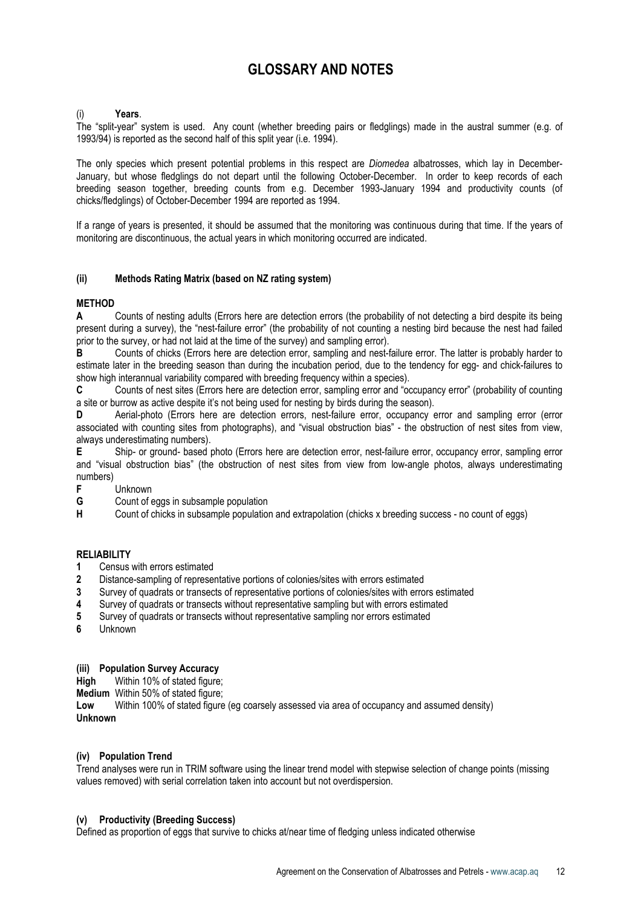## GLOSSARY AND NOTES

## Years.

The "split-year" system is used. Any count (whether breeding pairs or fledglings) made in the austral summer (e.g. of 1993/94) is reported as the second half of this split year (i.e. 1994).

The only species which present potential problems in this respect are *Diomedea* albatrosses, which lay in December-January, but whose fledglings do not depart until the following October-December. In order to keep records of each breeding season together, breeding counts from e.g. December 1993-January 1994 and productivity counts (of chicks/fledglings) of October-December 1994 are reported as 1994.

If a range of years is presented, it should be assumed that the monitoring was continuous during that time. If the years of monitoring are discontinuous, the actual years in which monitoring occurred are indicated.

## (ii) Methods Rating Matrix (based on NZ rating system)

## **METHOD**

A Counts of nesting adults (Errors here are detection errors (the probability of not detecting a bird despite its being present during a survey), the "nest-failure error" (the probability of not counting a nesting bird because the nest had failed prior to the survey, or had not laid at the time of the survey) and sampling error).

B Counts of chicks (Errors here are detection error, sampling and nest-failure error. The latter is probably harder to estimate later in the breeding season than during the incubation period, due to the tendency for egg- and chick-failures to show high interannual variability compared with breeding frequency within a species).

C Counts of nest sites (Errors here are detection error, sampling error and "occupancy error" (probability of counting a site or burrow as active despite it's not being used for nesting by birds during the season).

D Aerial-photo (Errors here are detection errors, nest-failure error, occupancy error and sampling error (error associated with counting sites from photographs), and "visual obstruction bias" - the obstruction of nest sites from view, always underestimating numbers).

E Ship- or ground- based photo (Errors here are detection error, nest-failure error, occupancy error, sampling error and "visual obstruction bias" (the obstruction of nest sites from view from low-angle photos, always underestimating numbers)<br>F

- Unknown
- G Count of eggs in subsample population

H Count of chicks in subsample population and extrapolation (chicks x breeding success - no count of eggs)

#### RELIABILITY

- 1 Census with errors estimated
- 2 Distance-sampling of representative portions of colonies/sites with errors estimated
- 3 Survey of quadrats or transects of representative portions of colonies/sites with errors estimated
- 4 Survey of quadrats or transects without representative sampling but with errors estimated
- 5 Survey of quadrats or transects without representative sampling nor errors estimated
- 6 Unknown

## (iii) Population Survey Accuracy

High Within 10% of stated figure:

**Medium** Within 50% of stated figure;<br>**I ow** Within 100% of stated figure

Within 100% of stated figure (eg coarsely assessed via area of occupancy and assumed density) Unknown

#### (iv) Population Trend

Trend analyses were run in TRIM software using the linear trend model with stepwise selection of change points (missing values removed) with serial correlation taken into account but not overdispersion.

## (v) Productivity (Breeding Success)

Defined as proportion of eggs that survive to chicks at/near time of fledging unless indicated otherwise